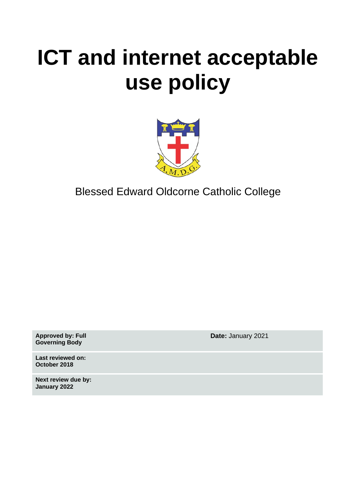# **ICT and internet acceptable use policy**



Blessed Edward Oldcorne Catholic College

**Approved by: Full Governing Body**

**Last reviewed on: October 2018**

**Next review due by: January 2022**

**Date:** January 2021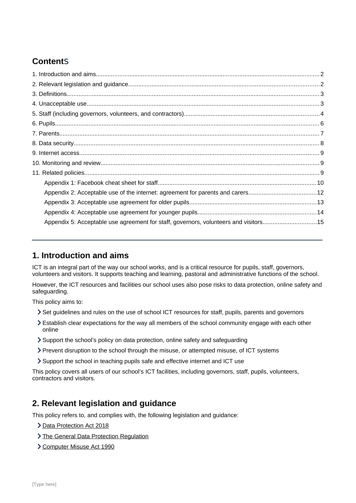# **Content**s

| Appendix 5: Acceptable use agreement for staff, governors, volunteers and visitors15 |  |
|--------------------------------------------------------------------------------------|--|
|                                                                                      |  |

# <span id="page-1-1"></span>**1. Introduction and aims**

ICT is an integral part of the way our school works, and is a critical resource for pupils, staff, governors, volunteers and visitors. It supports teaching and learning, pastoral and administrative functions of the school.

However, the ICT resources and facilities our school uses also pose risks to data protection, online safety and safeguarding.

This policy aims to:

- Set guidelines and rules on the use of school ICT resources for staff, pupils, parents and governors
- Establish clear expectations for the way all members of the school community engage with each other online
- Support the school's policy on data protection, online safety and safeguarding
- Prevent disruption to the school through the misuse, or attempted misuse, of ICT systems
- Support the school in teaching pupils safe and effective internet and ICT use

This policy covers all users of our school's ICT facilities, including governors, staff, pupils, volunteers, contractors and visitors.

# <span id="page-1-0"></span>**2. Relevant legislation and guidance**

This policy refers to, and complies with, the following legislation and guidance:

- > [Data Protection Act 2018](http://www.legislation.gov.uk/ukpga/2018/12/contents/enacted)
- > [The General Data Protection Regulation](https://eur-lex.europa.eu/legal-content/EN/TXT/HTML/?uri=CELEX:32016R0679)
- [Computer Misuse Act 1990](https://www.legislation.gov.uk/ukpga/1990/18/contents)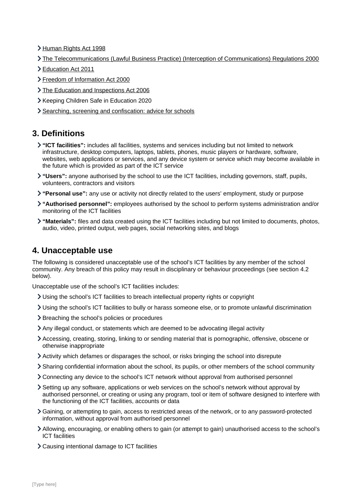- [Human Rights Act 1998](https://www.legislation.gov.uk/ukpga/1998/42/contents)
- [The Telecommunications \(Lawful Business Practice\) \(Interception of Communications\) Regulations 2000](https://www.legislation.gov.uk/uksi/2000/2699/regulation/3/made)
- [Education Act 2011](http://www.legislation.gov.uk/ukpga/2011/21/section/2/enacted)
- [Freedom of Information Act 2000](https://www.legislation.gov.uk/ukpga/2000/36/contents)
- > [The Education and Inspections Act 2006](https://www.legislation.gov.uk/ukpga/2006/40/part/7/chapter/1)
- Keeping Children Safe in Education 2020
- > [Searching, screening and confiscation: advice for schools](https://www.gov.uk/government/publications/searching-screening-and-confiscation)

# <span id="page-2-1"></span>**3. Definitions**

- **"ICT facilities":** includes all facilities, systems and services including but not limited to network infrastructure, desktop computers, laptops, tablets, phones, music players or hardware, software, websites, web applications or services, and any device system or service which may become available in the future which is provided as part of the ICT service
- **"Users":** anyone authorised by the school to use the ICT facilities, including governors, staff, pupils, volunteers, contractors and visitors
- **"Personal use":** any use or activity not directly related to the users' employment, study or purpose
- **"Authorised personnel":** employees authorised by the school to perform systems administration and/or monitoring of the ICT facilities
- **"Materials":** files and data created using the ICT facilities including but not limited to documents, photos, audio, video, printed output, web pages, social networking sites, and blogs

# <span id="page-2-0"></span>**4. Unacceptable use**

The following is considered unacceptable use of the school's ICT facilities by any member of the school community. Any breach of this policy may result in disciplinary or behaviour proceedings (see section 4.2 below).

Unacceptable use of the school's ICT facilities includes:

- Using the school's ICT facilities to breach intellectual property rights or copyright
- Using the school's ICT facilities to bully or harass someone else, or to promote unlawful discrimination
- > Breaching the school's policies or procedures
- Any illegal conduct, or statements which are deemed to be advocating illegal activity
- Accessing, creating, storing, linking to or sending material that is pornographic, offensive, obscene or otherwise inappropriate
- Activity which defames or disparages the school, or risks bringing the school into disrepute
- Sharing confidential information about the school, its pupils, or other members of the school community
- Connecting any device to the school's ICT network without approval from authorised personnel
- Setting up any software, applications or web services on the school's network without approval by authorised personnel, or creating or using any program, tool or item of software designed to interfere with the functioning of the ICT facilities, accounts or data
- Gaining, or attempting to gain, access to restricted areas of the network, or to any password-protected information, without approval from authorised personnel
- Allowing, encouraging, or enabling others to gain (or attempt to gain) unauthorised access to the school's ICT facilities
- Causing intentional damage to ICT facilities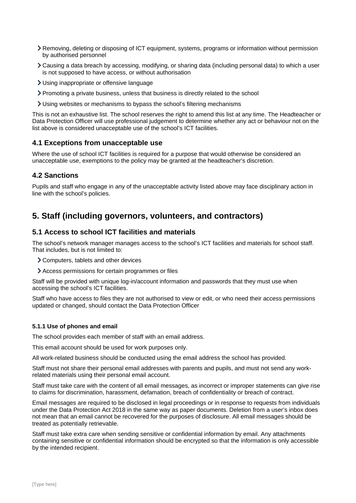- Removing, deleting or disposing of ICT equipment, systems, programs or information without permission by authorised personnel
- Causing a data breach by accessing, modifying, or sharing data (including personal data) to which a user is not supposed to have access, or without authorisation
- Using inappropriate or offensive language
- Promoting a private business, unless that business is directly related to the school
- Using websites or mechanisms to bypass the school's filtering mechanisms

This is not an exhaustive list. The school reserves the right to amend this list at any time. The Headteacher or Data Protection Officer will use professional judgement to determine whether any act or behaviour not on the list above is considered unacceptable use of the school's ICT facilities.

### **4.1 Exceptions from unacceptable use**

Where the use of school ICT facilities is required for a purpose that would otherwise be considered an unacceptable use, exemptions to the policy may be granted at the headteacher's discretion.

### **4.2 Sanctions**

Pupils and staff who engage in any of the unacceptable activity listed above may face disciplinary action in line with the school's policies.

# <span id="page-3-0"></span>**5. Staff (including governors, volunteers, and contractors)**

### **5.1 Access to school ICT facilities and materials**

The school's network manager manages access to the school's ICT facilities and materials for school staff. That includes, but is not limited to:

- Computers, tablets and other devices
- Access permissions for certain programmes or files

Staff will be provided with unique log-in/account information and passwords that they must use when accessing the school's ICT facilities.

Staff who have access to files they are not authorised to view or edit, or who need their access permissions updated or changed, should contact the Data Protection Officer

#### **5.1.1 Use of phones and email**

The school provides each member of staff with an email address.

This email account should be used for work purposes only.

All work-related business should be conducted using the email address the school has provided.

Staff must not share their personal email addresses with parents and pupils, and must not send any workrelated materials using their personal email account.

Staff must take care with the content of all email messages, as incorrect or improper statements can give rise to claims for discrimination, harassment, defamation, breach of confidentiality or breach of contract.

Email messages are required to be disclosed in legal proceedings or in response to requests from individuals under the Data Protection Act 2018 in the same way as paper documents. Deletion from a user's inbox does not mean that an email cannot be recovered for the purposes of disclosure. All email messages should be treated as potentially retrievable.

Staff must take extra care when sending sensitive or confidential information by email. Any attachments containing sensitive or confidential information should be encrypted so that the information is only accessible by the intended recipient.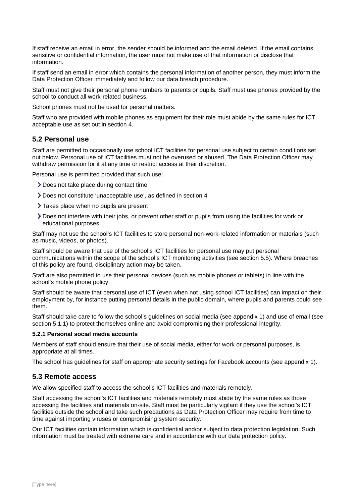If staff receive an email in error, the sender should be informed and the email deleted. If the email contains sensitive or confidential information, the user must not make use of that information or disclose that information.

If staff send an email in error which contains the personal information of another person, they must inform the Data Protection Officer immediately and follow our data breach procedure.

Staff must not give their personal phone numbers to parents or pupils. Staff must use phones provided by the school to conduct all work-related business.

School phones must not be used for personal matters.

Staff who are provided with mobile phones as equipment for their role must abide by the same rules for ICT acceptable use as set out in section 4.

### **5.2 Personal use**

Staff are permitted to occasionally use school ICT facilities for personal use subject to certain conditions set out below. Personal use of ICT facilities must not be overused or abused. The Data Protection Officer may withdraw permission for it at any time or restrict access at their discretion.

Personal use is permitted provided that such use:

- Does not take place during contact time
- Does not constitute 'unacceptable use', as defined in section 4
- > Takes place when no pupils are present
- Does not interfere with their jobs, or prevent other staff or pupils from using the facilities for work or educational purposes

Staff may not use the school's ICT facilities to store personal non-work-related information or materials (such as music, videos, or photos).

Staff should be aware that use of the school's ICT facilities for personal use may put personal communications within the scope of the school's ICT monitoring activities (see section 5.5). Where breaches of this policy are found, disciplinary action may be taken.

Staff are also permitted to use their personal devices (such as mobile phones or tablets) in line with the school's mobile phone policy.

Staff should be aware that personal use of ICT (even when not using school ICT facilities) can impact on their employment by, for instance putting personal details in the public domain, where pupils and parents could see them.

Staff should take care to follow the school's guidelines on social media (see appendix 1) and use of email (see section 5.1.1) to protect themselves online and avoid compromising their professional integrity.

#### **5.2.1 Personal social media accounts**

Members of staff should ensure that their use of social media, either for work or personal purposes, is appropriate at all times.

The school has guidelines for staff on appropriate security settings for Facebook accounts (see appendix 1).

### **5.3 Remote access**

We allow specified staff to access the school's ICT facilities and materials remotely.

Staff accessing the school's ICT facilities and materials remotely must abide by the same rules as those accessing the facilities and materials on-site. Staff must be particularly vigilant if they use the school's ICT facilities outside the school and take such precautions as Data Protection Officer may require from time to time against importing viruses or compromising system security.

Our ICT facilities contain information which is confidential and/or subject to data protection legislation. Such information must be treated with extreme care and in accordance with our data protection policy.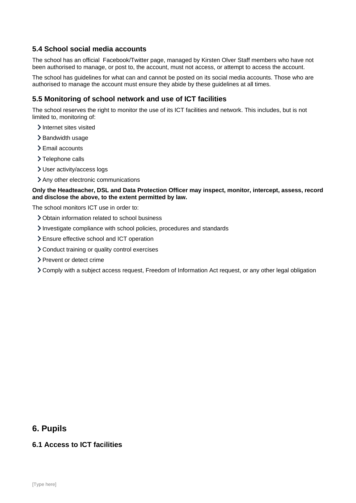## **5.4 School social media accounts**

The school has an official Facebook/Twitter page, managed by Kirsten Olver Staff members who have not been authorised to manage, or post to, the account, must not access, or attempt to access the account.

The school has guidelines for what can and cannot be posted on its social media accounts. Those who are authorised to manage the account must ensure they abide by these guidelines at all times.

## **5.5 Monitoring of school network and use of ICT facilities**

The school reserves the right to monitor the use of its ICT facilities and network. This includes, but is not limited to, monitoring of:

- > Internet sites visited
- > Bandwidth usage
- > Email accounts
- $\blacktriangleright$  Telephone calls
- User activity/access logs
- Any other electronic communications

**Only the Headteacher, DSL and Data Protection Officer may inspect, monitor, intercept, assess, record and disclose the above, to the extent permitted by law.**

The school monitors ICT use in order to:

- Obtain information related to school business
- Investigate compliance with school policies, procedures and standards
- Ensure effective school and ICT operation
- Conduct training or quality control exercises
- > Prevent or detect crime
- Comply with a subject access request, Freedom of Information Act request, or any other legal obligation

## <span id="page-5-0"></span>**6. Pupils**

### **6.1 Access to ICT facilities**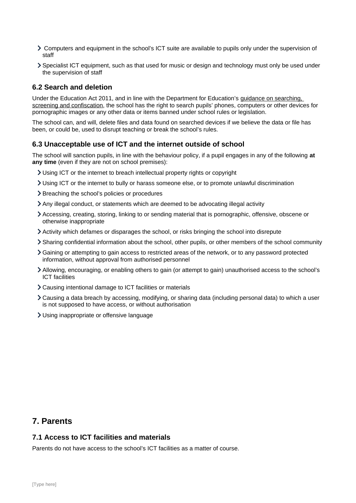- Computers and equipment in the school's ICT suite are available to pupils only under the supervision of staff
- Specialist ICT equipment, such as that used for music or design and technology must only be used under the supervision of staff

## **6.2 Search and deletion**

Under the Education Act 2011, and in line with the Department for Education's [guidance on searching,](https://www.gov.uk/government/publications/searching-screening-and-confiscation)  [screening and confiscation,](https://www.gov.uk/government/publications/searching-screening-and-confiscation) the school has the right to search pupils' phones, computers or other devices for pornographic images or any other data or items banned under school rules or legislation.

The school can, and will, delete files and data found on searched devices if we believe the data or file has been, or could be, used to disrupt teaching or break the school's rules.

## **6.3 Unacceptable use of ICT and the internet outside of school**

The school will sanction pupils, in line with the behaviour policy, if a pupil engages in any of the following **at any time** (even if they are not on school premises):

- Using ICT or the internet to breach intellectual property rights or copyright
- Using ICT or the internet to bully or harass someone else, or to promote unlawful discrimination
- > Breaching the school's policies or procedures
- Any illegal conduct, or statements which are deemed to be advocating illegal activity
- Accessing, creating, storing, linking to or sending material that is pornographic, offensive, obscene or otherwise inappropriate
- Activity which defames or disparages the school, or risks bringing the school into disrepute
- Sharing confidential information about the school, other pupils, or other members of the school community
- Gaining or attempting to gain access to restricted areas of the network, or to any password protected information, without approval from authorised personnel
- Allowing, encouraging, or enabling others to gain (or attempt to gain) unauthorised access to the school's ICT facilities
- Causing intentional damage to ICT facilities or materials
- Causing a data breach by accessing, modifying, or sharing data (including personal data) to which a user is not supposed to have access, or without authorisation
- Using inappropriate or offensive language

# <span id="page-6-0"></span>**7. Parents**

## **7.1 Access to ICT facilities and materials**

Parents do not have access to the school's ICT facilities as a matter of course.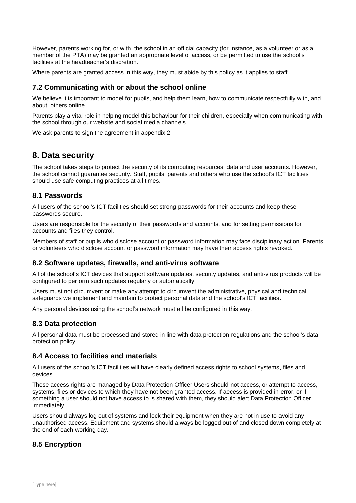However, parents working for, or with, the school in an official capacity (for instance, as a volunteer or as a member of the PTA) may be granted an appropriate level of access, or be permitted to use the school's facilities at the headteacher's discretion.

Where parents are granted access in this way, they must abide by this policy as it applies to staff.

## **7.2 Communicating with or about the school online**

We believe it is important to model for pupils, and help them learn, how to communicate respectfully with, and about, others online.

Parents play a vital role in helping model this behaviour for their children, especially when communicating with the school through our website and social media channels.

We ask parents to sign the agreement in appendix 2.

## <span id="page-7-0"></span>**8. Data security**

The school takes steps to protect the security of its computing resources, data and user accounts. However, the school cannot guarantee security. Staff, pupils, parents and others who use the school's ICT facilities should use safe computing practices at all times.

### **8.1 Passwords**

All users of the school's ICT facilities should set strong passwords for their accounts and keep these passwords secure.

Users are responsible for the security of their passwords and accounts, and for setting permissions for accounts and files they control.

Members of staff or pupils who disclose account or password information may face disciplinary action. Parents or volunteers who disclose account or password information may have their access rights revoked.

### **8.2 Software updates, firewalls, and anti-virus software**

All of the school's ICT devices that support software updates, security updates, and anti-virus products will be configured to perform such updates regularly or automatically.

Users must not circumvent or make any attempt to circumvent the administrative, physical and technical safeguards we implement and maintain to protect personal data and the school's ICT facilities.

Any personal devices using the school's network must all be configured in this way.

## **8.3 Data protection**

All personal data must be processed and stored in line with data protection regulations and the school's data protection policy.

### **8.4 Access to facilities and materials**

All users of the school's ICT facilities will have clearly defined access rights to school systems, files and devices.

These access rights are managed by Data Protection Officer Users should not access, or attempt to access, systems, files or devices to which they have not been granted access. If access is provided in error, or if something a user should not have access to is shared with them, they should alert Data Protection Officer immediately.

Users should always log out of systems and lock their equipment when they are not in use to avoid any unauthorised access. Equipment and systems should always be logged out of and closed down completely at the end of each working day.

## **8.5 Encryption**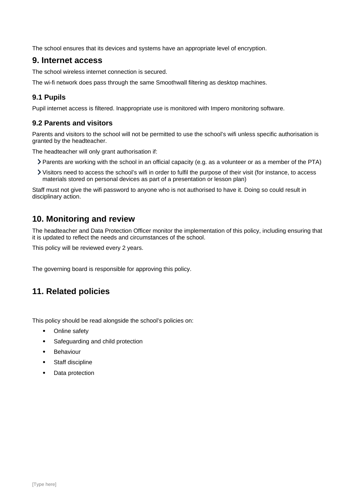The school ensures that its devices and systems have an appropriate level of encryption.

## <span id="page-8-2"></span>**9. Internet access**

The school wireless internet connection is secured.

The wi-fi network does pass through the same Smoothwall filtering as desktop machines.

## **9.1 Pupils**

Pupil internet access is filtered. Inappropriate use is monitored with Impero monitoring software.

## **9.2 Parents and visitors**

Parents and visitors to the school will not be permitted to use the school's wifi unless specific authorisation is granted by the headteacher.

The headteacher will only grant authorisation if:

- Parents are working with the school in an official capacity (e.g. as a volunteer or as a member of the PTA)
- Visitors need to access the school's wifi in order to fulfil the purpose of their visit (for instance, to access materials stored on personal devices as part of a presentation or lesson plan)

Staff must not give the wifi password to anyone who is not authorised to have it. Doing so could result in disciplinary action.

# <span id="page-8-1"></span>**10. Monitoring and review**

The headteacher and Data Protection Officer monitor the implementation of this policy, including ensuring that it is updated to reflect the needs and circumstances of the school.

This policy will be reviewed every 2 years.

The governing board is responsible for approving this policy.

# <span id="page-8-0"></span>**11. Related policies**

This policy should be read alongside the school's policies on:

- Online safety
- Safeguarding and child protection
- Behaviour
- Staff discipline
- Data protection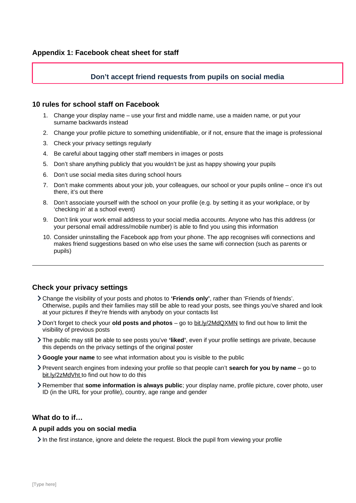## **Don't accept friend requests from pupils on social media**

#### <span id="page-9-0"></span>**10 rules for school staff on Facebook**

- 1. Change your display name use your first and middle name, use a maiden name, or put your surname backwards instead
- 2. Change your profile picture to something unidentifiable, or if not, ensure that the image is professional
- 3. Check your privacy settings regularly
- 4. Be careful about tagging other staff members in images or posts
- 5. Don't share anything publicly that you wouldn't be just as happy showing your pupils
- 6. Don't use social media sites during school hours
- 7. Don't make comments about your job, your colleagues, our school or your pupils online once it's out there, it's out there
- 8. Don't associate yourself with the school on your profile (e.g. by setting it as your workplace, or by 'checking in' at a school event)
- 9. Don't link your work email address to your social media accounts. Anyone who has this address (or your personal email address/mobile number) is able to find you using this information
- 10. Consider uninstalling the Facebook app from your phone. The app recognises wifi connections and makes friend suggestions based on who else uses the same wifi connection (such as parents or pupils)

### **Check your privacy settings**

- Change the visibility of your posts and photos to **'Friends only'**, rather than 'Friends of friends'. Otherwise, pupils and their families may still be able to read your posts, see things you've shared and look at your pictures if they're friends with anybody on your contacts list
- Don't forget to check your **old posts and photos** go to [bit.ly/2MdQXMN](https://www.facebook.com/help/iphone-app/236898969688346?helpref=uf_permalink) to find out how to limit the visibility of previous posts
- The public may still be able to see posts you've **'liked'**, even if your profile settings are private, because this depends on the privacy settings of the original poster
- **Google your name** to see what information about you is visible to the public
- Prevent search engines from indexing your profile so that people can't **search for you by name** go to [bit.ly/2zMdVht t](https://www.facebook.com/help/124518907626945?helpref=faq_content)o find out how to do this
- Remember that **some information is always public**; your display name, profile picture, cover photo, user ID (in the URL for your profile), country, age range and gender

## **What do to if…**

#### **A pupil adds you on social media**

 $\geq$  In the first instance, ignore and delete the request. Block the pupil from viewing your profile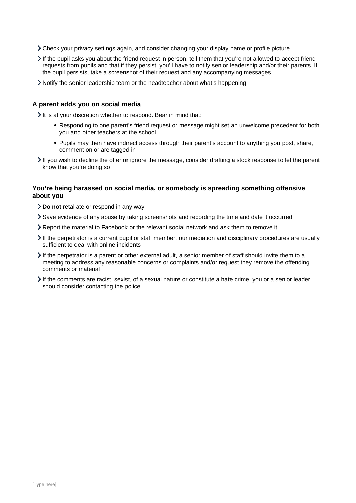- Check your privacy settings again, and consider changing your display name or profile picture
- $\geq$  If the pupil asks you about the friend request in person, tell them that you're not allowed to accept friend requests from pupils and that if they persist, you'll have to notify senior leadership and/or their parents. If the pupil persists, take a screenshot of their request and any accompanying messages
- Notify the senior leadership team or the headteacher about what's happening

#### **A parent adds you on social media**

 $\geq$  It is at your discretion whether to respond. Bear in mind that:

- Responding to one parent's friend request or message might set an unwelcome precedent for both you and other teachers at the school
- Pupils may then have indirect access through their parent's account to anything you post, share, comment on or are tagged in
- If you wish to decline the offer or ignore the message, consider drafting a stock response to let the parent know that you're doing so

#### **You're being harassed on social media, or somebody is spreading something offensive about you**

- **Do not** retaliate or respond in any way
- Save evidence of any abuse by taking screenshots and recording the time and date it occurred
- Report the material to Facebook or the relevant social network and ask them to remove it
- If the perpetrator is a current pupil or staff member, our mediation and disciplinary procedures are usually sufficient to deal with online incidents
- If the perpetrator is a parent or other external adult, a senior member of staff should invite them to a meeting to address any reasonable concerns or complaints and/or request they remove the offending comments or material
- If the comments are racist, sexist, of a sexual nature or constitute a hate crime, you or a senior leader should consider contacting the police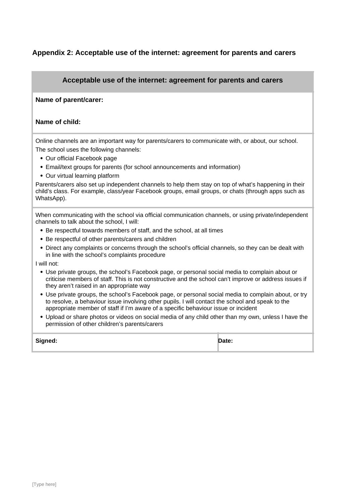## <span id="page-11-0"></span>**Appendix 2: Acceptable use of the internet: agreement for parents and carers**

## **Acceptable use of the internet: agreement for parents and carers**

#### **Name of parent/carer:**

#### **Name of child:**

Online channels are an important way for parents/carers to communicate with, or about, our school. The school uses the following channels:

- Our official Facebook page
- Email/text groups for parents (for school announcements and information)
- Our virtual learning platform

Parents/carers also set up independent channels to help them stay on top of what's happening in their child's class. For example, class/year Facebook groups, email groups, or chats (through apps such as WhatsApp).

When communicating with the school via official communication channels, or using private/independent channels to talk about the school, I will:

- Be respectful towards members of staff, and the school, at all times
- Be respectful of other parents/carers and children
- Direct any complaints or concerns through the school's official channels, so they can be dealt with in line with the school's complaints procedure

I will not:

- Use private groups, the school's Facebook page, or personal social media to complain about or criticise members of staff. This is not constructive and the school can't improve or address issues if they aren't raised in an appropriate way
- Use private groups, the school's Facebook page, or personal social media to complain about, or try to resolve, a behaviour issue involving other pupils. I will contact the school and speak to the appropriate member of staff if I'm aware of a specific behaviour issue or incident
- Upload or share photos or videos on social media of any child other than my own, unless I have the permission of other children's parents/carers

| Signed: | Date: |
|---------|-------|
|         |       |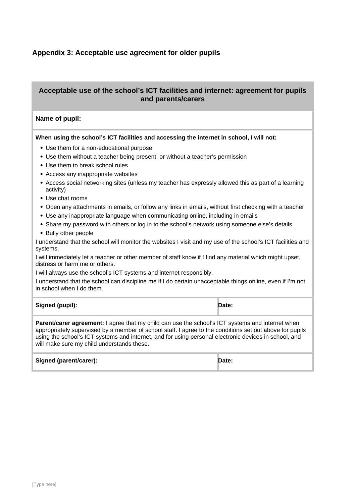## <span id="page-12-0"></span>**Appendix 3: Acceptable use agreement for older pupils**

## **Acceptable use of the school's ICT facilities and internet: agreement for pupils and parents/carers**

#### **Name of pupil:**

**When using the school's ICT facilities and accessing the internet in school, I will not:** 

- Use them for a non-educational purpose
- Use them without a teacher being present, or without a teacher's permission
- Use them to break school rules
- Access any inappropriate websites
- Access social networking sites (unless my teacher has expressly allowed this as part of a learning activity)
- Use chat rooms
- Open any attachments in emails, or follow any links in emails, without first checking with a teacher
- Use any inappropriate language when communicating online, including in emails
- Share my password with others or log in to the school's network using someone else's details
- Bully other people

I understand that the school will monitor the websites I visit and my use of the school's ICT facilities and systems.

I will immediately let a teacher or other member of staff know if I find any material which might upset, distress or harm me or others.

I will always use the school's ICT systems and internet responsibly.

I understand that the school can discipline me if I do certain unacceptable things online, even if I'm not in school when I do them.

| Signed (pupil): | Date: |
|-----------------|-------|
|-----------------|-------|

**Parent/carer agreement:** I agree that my child can use the school's ICT systems and internet when appropriately supervised by a member of school staff. I agree to the conditions set out above for pupils using the school's ICT systems and internet, and for using personal electronic devices in school, and will make sure my child understands these.

#### **Signed (parent/carer): Date:**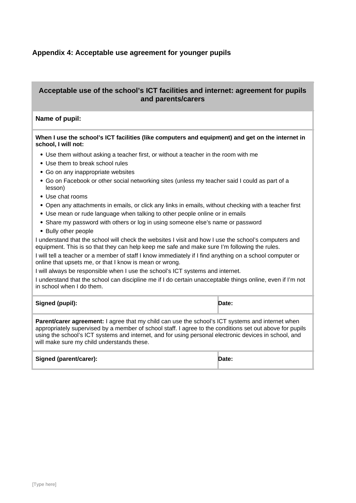## <span id="page-13-0"></span>**Appendix 4: Acceptable use agreement for younger pupils**

## **Acceptable use of the school's ICT facilities and internet: agreement for pupils and parents/carers**

#### **Name of pupil:**

#### **When I use the school's ICT facilities (like computers and equipment) and get on the internet in school, I will not:**

- Use them without asking a teacher first, or without a teacher in the room with me
- Use them to break school rules
- Go on any inappropriate websites
- Go on Facebook or other social networking sites (unless my teacher said I could as part of a lesson)
- Use chat rooms
- Open any attachments in emails, or click any links in emails, without checking with a teacher first
- Use mean or rude language when talking to other people online or in emails
- Share my password with others or log in using someone else's name or password
- Bully other people

I understand that the school will check the websites I visit and how I use the school's computers and equipment. This is so that they can help keep me safe and make sure I'm following the rules.

I will tell a teacher or a member of staff I know immediately if I find anything on a school computer or online that upsets me, or that I know is mean or wrong.

I will always be responsible when I use the school's ICT systems and internet.

I understand that the school can discipline me if I do certain unacceptable things online, even if I'm not in school when I do them.

| Signed (pupil): | Date: |
|-----------------|-------|
|                 |       |

**Parent/carer agreement:** I agree that my child can use the school's ICT systems and internet when appropriately supervised by a member of school staff. I agree to the conditions set out above for pupils using the school's ICT systems and internet, and for using personal electronic devices in school, and will make sure my child understands these.

**Signed (parent/carer): Date:**